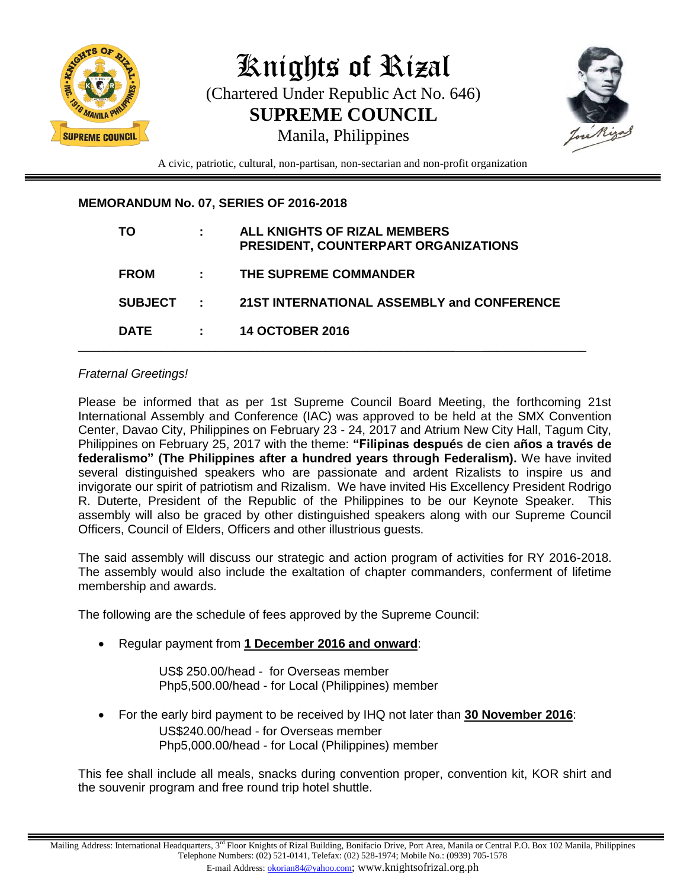

# Knights of RiZal (Chartered Under Republic Act No. 646) **SUPREME COUNCIL** Manila, Philippines



A civic, patriotic, cultural, non-partisan, non-sectarian and non-profit organization

## **MEMORANDUM No. 07, SERIES OF 2016-2018**

| TO             |           | ALL KNIGHTS OF RIZAL MEMBERS<br>PRESIDENT, COUNTERPART ORGANIZATIONS |
|----------------|-----------|----------------------------------------------------------------------|
| <b>FROM</b>    | ÷.        | THE SUPREME COMMANDER                                                |
| <b>SUBJECT</b> | $\sim 10$ | 21ST INTERNATIONAL ASSEMBLY and CONFERENCE                           |
| <b>DATE</b>    |           | <b>14 OCTOBER 2016</b>                                               |

## *Fraternal Greetings!*

Please be informed that as per 1st Supreme Council Board Meeting, the forthcoming 21st International Assembly and Conference (IAC) was approved to be held at the SMX Convention Center, Davao City, Philippines on February 23 - 24, 2017 and Atrium New City Hall, Tagum City, Philippines on February 25, 2017 with the theme: **"Filipinas después de cien años a través de federalismo" (The Philippines after a hundred years through Federalism).** We have invited several distinguished speakers who are passionate and ardent Rizalists to inspire us and invigorate our spirit of patriotism and Rizalism. We have invited His Excellency President Rodrigo R. Duterte, President of the Republic of the Philippines to be our Keynote Speaker. This assembly will also be graced by other distinguished speakers along with our Supreme Council Officers, Council of Elders, Officers and other illustrious guests.

The said assembly will discuss our strategic and action program of activities for RY 2016-2018. The assembly would also include the exaltation of chapter commanders, conferment of lifetime membership and awards.

The following are the schedule of fees approved by the Supreme Council:

Regular payment from **1 December 2016 and onward**:

US\$ 250.00/head - for Overseas member Php5,500.00/head - for Local (Philippines) member

 For the early bird payment to be received by IHQ not later than **30 November 2016**: US\$240.00/head - for Overseas member Php5,000.00/head - for Local (Philippines) member

This fee shall include all meals, snacks during convention proper, convention kit, KOR shirt and the souvenir program and free round trip hotel shuttle.

Mailing Address: International Headquarters, 3<sup>rd</sup> Floor Knights of Rizal Building, Bonifacio Drive, Port Area, Manila or Central P.O. Box 102 Manila, Philippines Telephone Numbers: (02) 521-0141, Telefax: (02) 528-1974; Mobile No.: (0939) 705-1578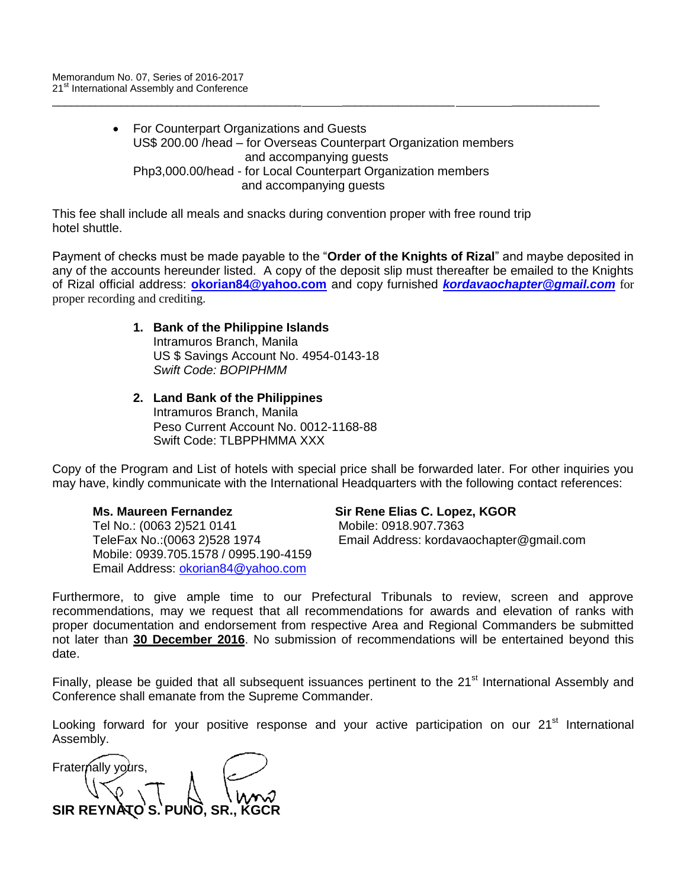For Counterpart Organizations and Guests US\$ 200.00 /head – for Overseas Counterpart Organization members and accompanying guests Php3,000.00/head - for Local Counterpart Organization members and accompanying guests

\_\_\_\_\_\_\_\_\_\_\_\_\_\_\_\_\_\_\_\_\_\_\_\_\_\_\_\_\_\_\_\_\_\_\_\_\_\_\_\_ \_\_\_\_\_\_\_\_\_\_\_\_\_\_\_\_\_\_ \_\_\_\_\_\_\_\_\_\_\_\_\_\_

This fee shall include all meals and snacks during convention proper with free round trip hotel shuttle.

Payment of checks must be made payable to the "**Order of the Knights of Rizal**" and maybe deposited in any of the accounts hereunder listed. A copy of the deposit slip must thereafter be emailed to the Knights of Rizal official address: **[okorian84@yahoo.com](mailto:okorian84@yahoo.com)** and copy furnished *[kordavaochapter@gmail.com](mailto:kordavaochapter@gmail.com)* for proper recording and crediting.

#### **1. Bank of the Philippine Islands**  Intramuros Branch, Manila US \$ Savings Account No. 4954-0143-18 *Swift Code: BOPIPHMM*

#### **2. Land Bank of the Philippines**

Intramuros Branch, Manila Peso Current Account No. 0012-1168-88 Swift Code: TI BPPHMMA XXX

Copy of the Program and List of hotels with special price shall be forwarded later. For other inquiries you may have, kindly communicate with the International Headquarters with the following contact references:

Tel No.: (0063 2)521 0141 Mobile: 0918.907.7363 Mobile: 0939.705.1578 / 0995.190-4159 Email Address: [okorian84@yahoo.com](mailto:okorian84@yahoo.com)

#### **Ms. Maureen Fernandez Sir Rene Elias C. Lopez, KGOR**

TeleFax No.:(0063 2)528 1974 Email Address: kordavaochapter@gmail.com

Furthermore, to give ample time to our Prefectural Tribunals to review, screen and approve recommendations, may we request that all recommendations for awards and elevation of ranks with proper documentation and endorsement from respective Area and Regional Commanders be submitted not later than **30 December 2016**. No submission of recommendations will be entertained beyond this date.

Finally, please be guided that all subsequent issuances pertinent to the 21<sup>st</sup> International Assembly and Conference shall emanate from the Supreme Commander.

Looking forward for your positive response and your active participation on our 21<sup>st</sup> International Assembly.

Fraternally yours, **SIR REYNATO'S. PUNO**